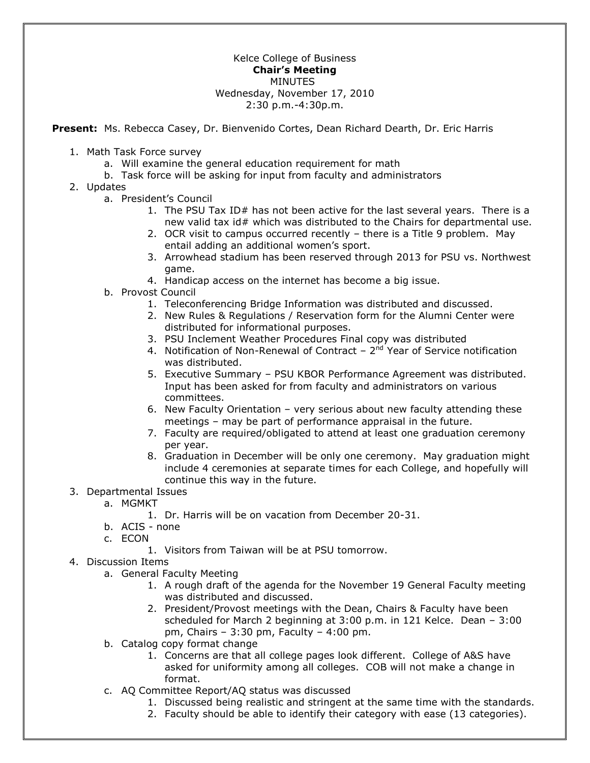## Kelce College of Business **Chair's Meeting**  MINUTES Wednesday, November 17, 2010 2:30 p.m.-4:30p.m.

**Present:** Ms. Rebecca Casey, Dr. Bienvenido Cortes, Dean Richard Dearth, Dr. Eric Harris

- 1. Math Task Force survey
	- a. Will examine the general education requirement for math
	- b. Task force will be asking for input from faculty and administrators
- 2. Updates
	- a. President's Council
		- 1. The PSU Tax ID# has not been active for the last several years. There is a new valid tax id# which was distributed to the Chairs for departmental use.
		- 2. OCR visit to campus occurred recently there is a Title 9 problem. May entail adding an additional women's sport.
		- 3. Arrowhead stadium has been reserved through 2013 for PSU vs. Northwest game.
		- 4. Handicap access on the internet has become a big issue.
	- b. Provost Council
		- 1. Teleconferencing Bridge Information was distributed and discussed.
		- 2. New Rules & Regulations / Reservation form for the Alumni Center were distributed for informational purposes.
		- 3. PSU Inclement Weather Procedures Final copy was distributed
		- 4. Notification of Non-Renewal of Contract  $-2<sup>nd</sup>$  Year of Service notification was distributed.
		- 5. Executive Summary PSU KBOR Performance Agreement was distributed. Input has been asked for from faculty and administrators on various committees.
		- 6. New Faculty Orientation very serious about new faculty attending these meetings – may be part of performance appraisal in the future.
		- 7. Faculty are required/obligated to attend at least one graduation ceremony per year.
		- 8. Graduation in December will be only one ceremony. May graduation might include 4 ceremonies at separate times for each College, and hopefully will continue this way in the future.
- 3. Departmental Issues
	- a. MGMKT
		- 1. Dr. Harris will be on vacation from December 20-31.
	- b. ACIS none
	- c. ECON
		- 1. Visitors from Taiwan will be at PSU tomorrow.
- 4. Discussion Items
	- a. General Faculty Meeting
		- 1. A rough draft of the agenda for the November 19 General Faculty meeting was distributed and discussed.
		- 2. President/Provost meetings with the Dean, Chairs & Faculty have been scheduled for March 2 beginning at 3:00 p.m. in 121 Kelce. Dean – 3:00 pm, Chairs – 3:30 pm, Faculty – 4:00 pm.
	- b. Catalog copy format change
		- 1. Concerns are that all college pages look different. College of A&S have asked for uniformity among all colleges. COB will not make a change in format.
	- c. AQ Committee Report/AQ status was discussed
		- 1. Discussed being realistic and stringent at the same time with the standards.
		- 2. Faculty should be able to identify their category with ease (13 categories).